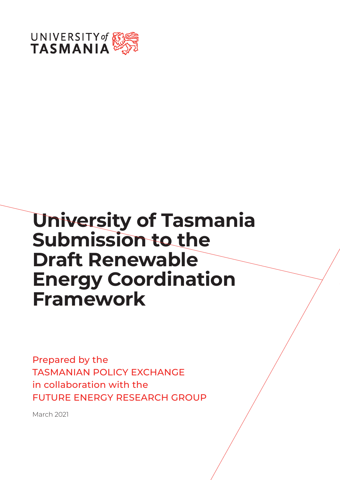

# **University of Tasmania Submission to the Draft Renewable Energy Coordination Framework**

Prepared by the TASMANIAN POLICY EXCHANGE in collaboration with the FUTURE ENERGY RESEARCH GROUP

March 2021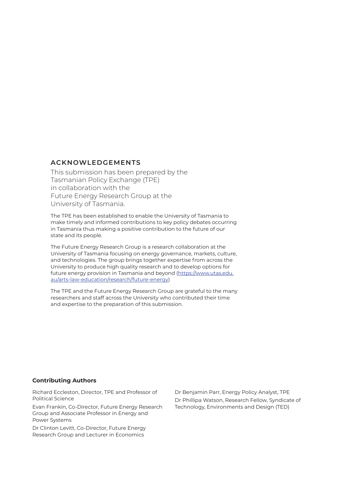#### **ACKNOWLEDGEMENTS**

This submission has been prepared by the Tasmanian Policy Exchange (TPE) in collaboration with the Future Energy Research Group at the University of Tasmania.

The TPE has been established to enable the University of Tasmania to make timely and informed contributions to key policy debates occurring in Tasmania thus making a positive contribution to the future of our state and its people.

The Future Energy Research Group is a research collaboration at the University of Tasmania focusing on energy governance, markets, culture, and technologies. The group brings together expertise from across the University to produce high quality research and to develop options for future energy provision in Tasmania and beyond (https://www.utas.edu. au/arts-law-education/research/future-energy)

The TPE and the Future Energy Research Group are grateful to the many researchers and staff across the University who contributed their time and expertise to the preparation of this submission.

#### **Contributing Authors**

Richard Eccleston, Director, TPE and Professor of Political Science

Evan Frankin, Co-Director, Future Energy Research Group and Associate Professor in Energy and Power Systems

Dr Clinton Levitt, Co-Director, Future Energy Research Group and Lecturer in Economics

Dr Benjamin Parr, Energy Policy Analyst, TPE Dr Phillipa Watson, Research Fellow, Syndicate of Technology, Environments and Design (TED)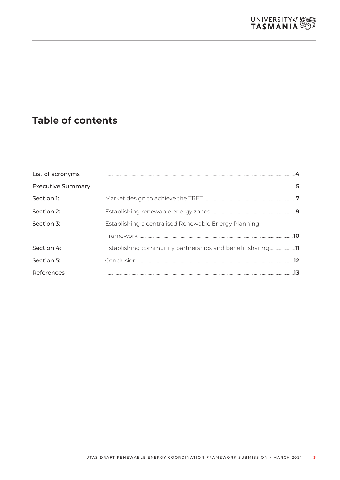

# **Table of contents**

| List of acronyms         |                                                         |  |
|--------------------------|---------------------------------------------------------|--|
| <b>Executive Summary</b> |                                                         |  |
| Section 1:               |                                                         |  |
| Section 2:               |                                                         |  |
| Section 3:               | Establishing a centralised Renewable Energy Planning    |  |
|                          |                                                         |  |
| Section 4:               | Establishing community partnerships and benefit sharing |  |
| Section 5:               |                                                         |  |
| References               |                                                         |  |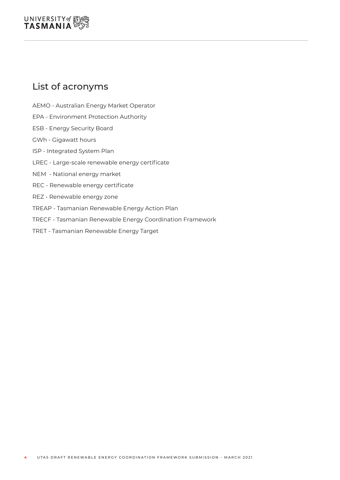## List of acronyms

AEMO - Australian Energy Market Operator EPA - Environment Protection Authority ESB - Energy Security Board GWh - Gigawatt hours ISP - Integrated System Plan LREC - Large-scale renewable energy certificate NEM - National energy market REC - Renewable energy certificate REZ - Renewable energy zone TREAP - Tasmanian Renewable Energy Action Plan TRECF - Tasmanian Renewable Energy Coordination Framework TRET - Tasmanian Renewable Energy Target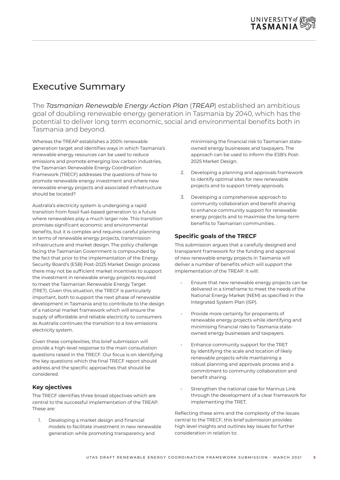# Executive Summary

The *Tasmanian Renewable Energy Action Plan* (*TREAP*) established an ambitious goal of doubling renewable energy generation in Tasmania by 2040, which has the potential to deliver long term economic, social and environmental benefits both in Tasmania and beyond.

Whereas the TREAP establishes a 200% renewable generation target and identifies ways in which Tasmania's renewable energy resources can be used to reduce emissions and promote emerging low carbon industries, the Tasmanian Renewable Energy Coordination Framework (TRECF) addresses the questions of how to promote renewable energy investment and where new renewable energy projects and associated infrastructure should be located?

Australia's electricity system is undergoing a rapid transition from fossil fuel-based generation to a future where renewables play a much larger role. This transition promises significant economic and environmental benefits, but it is complex and requires careful planning in terms of renewable energy projects, transmission infrastructure and market design. The policy challenge facing the Tasmanian Government is compounded by the fact that prior to the implementation of the Energy Security Board's (ESB) Post-2025 Market Design process there may not be sufficient market incentives to support the investment in renewable energy projects required to meet the Tasmanian Renewable Energy Target (TRET). Given this situation, the TRECF is particularly important, both to support the next phase of renewable development in Tasmania and to contribute to the design of a national market framework which will ensure the supply of affordable and reliable electricity to consumers as Australia continues the transition to a low emissions electricity system.

Given these complexities, this brief submission will provide a high-level response to the main consultation questions raised in the TRECF. Our focus is on identifying the key questions which the final TRECF report should address and the specific approaches that should be considered.

#### **Key ojectives**

The TRECF identifies three broad objectives which are central to the successful implementation of the TREAP. These are:

1. Developing a market design and financial models to facilitate investment in new renewable generation while promoting transparency and

minimising the financial risk to Tasmanian stateowned energy businesses and taxpayers. The approach can be used to inform the ESB's Post-2025 Market Design.

- 2. Developing a planning and approvals framework to identify optimal sites for new renewable projects and to support timely approvals.
- 3. Developing a comprehensive approach to community collaboration and benefit sharing to enhance community support for renewable energy projects and to maximise the long-term benefits to Tasmanian communities. .

#### **Specific goals of the TRECF**

This submission argues that a carefully designed and transparent framework for the funding and approval of new renewable energy projects in Tasmania will deliver a number of benefits which will support the implementation of the TREAP. It will:

- Ensure that new renewable energy projects can be delivered in a timeframe to meet the needs of the National Energy Market (NEM) as specified in the Integrated System Plan (ISP).
- Provide more certainty for proponents of renewable energy projects while identifying and minimising financial risks to Tasmania stateowned energy businesses and taxpayers.
- Enhance community support for the TRET by identifying the scale and location of likely renewable projects while maintaining a robust planning and approvals process and a commitment to community collaboration and benefit sharing.
- Strengthen the national case for Marinus Link through the development of a clear framework for implementing the TRET.

Reflecting these aims and the complexity of the issues central to the TRECF, this brief submission provides high level insights and outlines key issues for further consideration in relation to: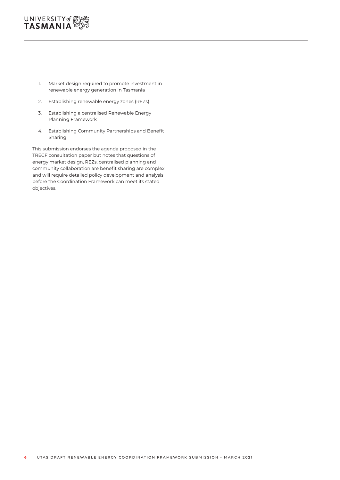- 1. Market design required to promote investment in renewable energy generation in Tasmania
- 2. Establishing renewable energy zones (REZs)
- 3. Establishing a centralised Renewable Energy Planning Framework
- 4. Establishing Community Partnerships and Benefit Sharing

This submission endorses the agenda proposed in the TRECF consultation paper but notes that questions of energy market design, REZs, centralised planning and community collaboration are benefit sharing are complex and will require detailed policy development and analysis before the Coordination Framework can meet its stated objectives.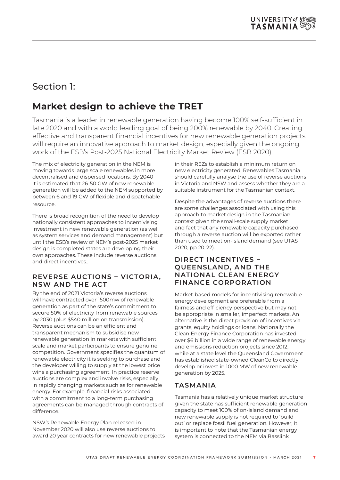# Section 1:

# **Market design to achieve the TRET**

Tasmania is a leader in renewable generation having become 100% self-sufficient in late 2020 and with a world leading goal of being 200% renewable by 2040. Creating effective and transparent financial incentives for new renewable generation projects will require an innovative approach to market design, especially given the ongoing work of the ESB's Post-2025 National Electricity Market Review (ESB 2020).

The mix of electricity generation in the NEM is moving towards large scale renewables in more decentralised and dispersed locations. By 2040 it is estimated that 26-50 GW of new renewable generation will be added to the NEM supported by between 6 and 19 GW of flexible and dispatchable resource.

There is broad recognition of the need to develop nationally consistent approaches to incentivising investment in new renewable generation (as well as system services and demand management) but until the ESB's review of NEM's post-2025 market design is completed states are developing their own approaches. These include reverse auctions and direct incentives..

#### **REVERSE AUCTIONS – VICTORIA, NSW AND THE ACT**

By the end of 2021 Victoria's reverse auctions will have contracted over 1500mw of renewable generation as part of the state's commitment to secure 50% of electricity from renewable sources by 2030 (plus \$540 million on transmission). Reverse auctions can be an efficient and transparent mechanism to subsidise new renewable generation in markets with sufficient scale and market participants to ensure genuine competition. Government specifies the quantum of renewable electricity it is seeking to purchase and the developer willing to supply at the lowest price wins a purchasing agreement. In practice reserve auctions are complex and involve risks, especially in rapidly changing markets such as for renewable energy. For example. financial risks associated with a commitment to a long-term purchasing agreements can be managed through contracts of difference.

NSW's Renewable Energy Plan released in November 2020 will also use reverse auctions to award 20 year contracts for new renewable projects in their REZs to establish a minimum return on new electricity generated. Renewables Tasmania should carefully analyse the use of reverse auctions in Victoria and NSW and assess whether they are a suitable instrument for the Tasmanian context.

Despite the advantages of reverse auctions there are some challenges associated with using this approach to market design in the Tasmanian context given the small-scale supply market and fact that any renewable capacity purchased through a reverse auction will be exported rather than used to meet on-island demand (see UTAS 2020, pp 20-22).

#### **DIRECT INCENTIVES – QUEENSLAND, AND THE NATIONAL CLEAN ENERGY FINANCE CORPORATION**

Market-based models for incentivising renewable energy development are preferable from a fairness and efficiency perspective but may not be appropriate in smaller, imperfect markets. An alternative is the direct provision of incentives via grants, equity holdings or loans. Nationally the Clean Energy Finance Corporation has invested over \$6 billion in a wide range of renewable energy and emissions reduction projects since 2012, while at a state level the Queensland Government has established state-owned CleanCo to directly develop or invest in 1000 MW of new renewable generation by 2025.

#### **TASMANIA**

Tasmania has a relatively unique market structure given the state has sufficient renewable generation capacity to meet 100% of on-island demand and new renewable supply is not required to 'build out' or replace fossil fuel generation. However, it is important to note that the Tasmanian energy system is connected to the NEM via Basslink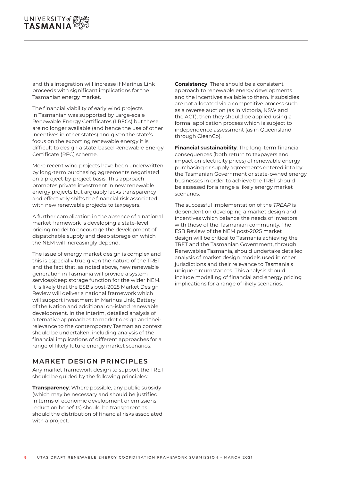and this integration will increase if Marinus Link proceeds with significant implications for the Tasmanian energy market.

The financial viability of early wind projects in Tasmanian was supported by Large-scale Renewable Energy Certificates (LRECs) but these are no longer available (and hence the use of other incentives in other states) and given the state's focus on the exporting renewable energy it is difficult to design a state-based Renewable Energy Certificate (REC) scheme.

More recent wind projects have been underwritten by long-term purchasing agreements negotiated on a project-by-project basis. This approach promotes private investment in new renewable energy projects but arguably lacks transparency and effectively shifts the financial risk associated with new renewable projects to taxpayers.

A further complication in the absence of a national market framework is developing a state-level pricing model to encourage the development of dispatchable supply and deep storage on which the NEM will increasingly depend.

The issue of energy market design is complex and this is especially true given the nature of the TRET and the fact that, as noted above, new renewable generation in Tasmania will provide a system services/deep storage function for the wider NEM. It is likely that the ESB's post-2025 Market Design Review will deliver a national framework which will support investment in Marinus Link, Battery of the Nation and additional on-island renewable development. In the interim, detailed analysis of alternative approaches to market design and their relevance to the contemporary Tasmanian context should be undertaken, including analysis of the financial implications of different approaches for a range of likely future energy market scenarios.

#### **MARKET DESIGN PRINCIPLES**

Any market framework design to support the TRET should be guided by the following principles:

**Transparency**: Where possible, any public subsidy (which may be necessary and should be justified in terms of economic development or emissions reduction benefits) should be transparent as should the distribution of financial risks associated with a project.

**Consistency**: There should be a consistent approach to renewable energy developments and the incentives available to them. If subsidies are not allocated via a competitive process such as a reverse auction (as in Victoria, NSW and the ACT), then they should be applied using a formal application process which is subject to independence assessment (as in Queensland through CleanCo).

**Financial sustainability**: The long-term financial consequences (both return to taxpayers and impact on electricity prices) of renewable energy purchasing or supply agreements entered into by the Tasmanian Government or state-owned energy businesses in order to achieve the TRET should be assessed for a range a likely energy market scenarios.

The successful implementation of the *TREAP* is dependent on developing a market design and incentives which balance the needs of investors with those of the Tasmanian community. The ESB Review of the NEM post-2025 market design will be critical to Tasmania achieving the TRET and the Tasmanian Government, through Renewables Tasmania, should undertake detailed analysis of market design models used in other jurisdictions and their relevance to Tasmania's unique circumstances. This analysis should include modelling of financial and energy pricing implications for a range of likely scenarios.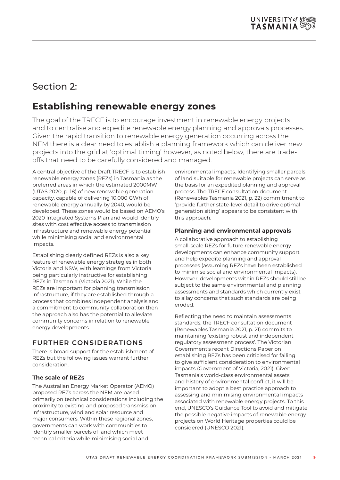# Section 2:

# **Establishing renewable energy zones**

The goal of the TRECF is to encourage investment in renewable energy projects and to centralise and expedite renewable energy planning and approvals processes. Given the rapid transition to renewable energy generation occurring across the NEM there is a clear need to establish a planning framework which can deliver new projects into the grid at 'optimal timing' however, as noted below, there are tradeoffs that need to be carefully considered and managed.

A central objective of the Draft TRECF is to establish renewable energy zones (REZs) in Tasmania as the preferred areas in which the estimated 2000MW (UTAS 2020, p. 18) of new renewable generation capacity, capable of delivering 10,000 GWh of renewable energy annually by 2040, would be developed. These zones would be based on AEMO's 2020 Integrated Systems Plan and would identify sites with cost effective access to transmission infrastructure and renewable energy potential while minimising social and environmental impacts.

Establishing clearly defined REZs is also a key feature of renewable energy strategies in both Victoria and NSW, with learnings from Victoria being particularly instructive for establishing REZs in Tasmania (Victoria 2021). While the REZs are important for planning transmission infrastructure, if they are established through a process that combines independent analysis and a commitment to community collaboration then the approach also has the potential to alleviate community concerns in relation to renewable energy developments.

#### **FURTHER CONSIDERATIONS**

There is broad support for the establishment of REZs but the following issues warrant further consideration.

#### **The scale of REZs**

The Australian Energy Market Operator (AEMO) proposed REZs across the NEM are based primarily on technical considerations including the proximity to existing and proposed transmission infrastructure, wind and solar resource and major consumers. Within these regional zones, governments can work with communities to identify smaller parcels of land which meet technical criteria while minimising social and

environmental impacts. Identifying smaller parcels of land suitable for renewable projects can serve as the basis for an expedited planning and approval process. The TRECF consultation document (Renewables Tasmania 2021, p. 22) commitment to 'provide further state-level detail to drive optimal generation siting' appears to be consistent with this approach.

#### **Planning and environmental approvals**

A collaborative approach to establishing small-scale REZs for future renewable energy developments can enhance community support and help expedite planning and approval processes (assuming REZs have been established to minimise social and environmental impacts). However, developments within REZs should still be subject to the same environmental and planning assessments and standards which currently exist to allay concerns that such standards are being eroded.

Reflecting the need to maintain assessments standards, the TRECF consultation document (Renewables Tasmania 2021, p. 21) commits to maintaining 'existing robust and independent regulatory assessment process'. The Victorian Government's recent Directions Paper on establishing REZs has been criticised for failing to give sufficient consideration to environmental impacts (Government of Victoria, 2021). Given Tasmania's world-class environmental assets and history of environmental conflict, it will be important to adopt a best practice approach to assessing and minimising environmental impacts associated with renewable energy projects. To this end, UNESCO's Guidance Tool to avoid and mitigate the possible negative impacts of renewable energy projects on World Heritage properties could be considered (UNESCO 2021).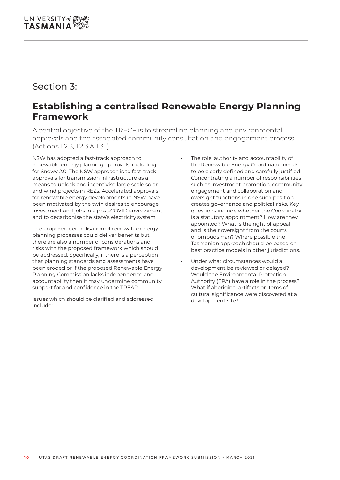### Section 3:

### **Establishing a centralised Renewable Energy Planning Framework**

A central objective of the TRECF is to streamline planning and environmental approvals and the associated community consultation and engagement process (Actions 1.2.3, 1.2.3 & 1.3.1).

NSW has adopted a fast-track approach to renewable energy planning approvals, including for Snowy 2.0. The NSW approach is to fast-track approvals for transmission infrastructure as a means to unlock and incentivise large scale solar and wind projects in REZs. Accelerated approvals for renewable energy developments in NSW have been motivated by the twin desires to encourage investment and jobs in a post-COVID environment and to decarbonise the state's electricity system.

The proposed centralisation of renewable energy planning processes could deliver benefits but there are also a number of considerations and risks with the proposed framework which should be addressed. Specifically, if there is a perception that planning standards and assessments have been eroded or if the proposed Renewable Energy Planning Commission lacks independence and accountability then it may undermine community support for and confidence in the TREAP.

Issues which should be clarified and addressed include:

- The role, authority and accountability of the Renewable Energy Coordinator needs to be clearly defined and carefully justified. Concentrating a number of responsibilities such as investment promotion, community engagement and collaboration and oversight functions in one such position creates governance and political risks. Key questions include whether the Coordinator is a statutory appointment? How are they appointed? What is the right of appeal and is their oversight from the courts or ombudsman? Where possible the Tasmanian approach should be based on best practice models in other jurisdictions.
- Under what circumstances would a development be reviewed or delayed? Would the Environmental Protection Authority (EPA) have a role in the process? What if aboriginal artifacts or items of cultural significance were discovered at a development site?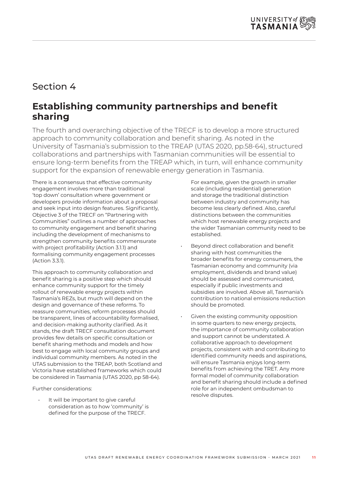## Section 4

### **Establishing community partnerships and benefit sharing**

The fourth and overarching objective of the TRECF is to develop a more structured approach to community collaboration and benefit sharing. As noted in the University of Tasmania's submission to the TREAP (UTAS 2020, pp.58-64), structured collaborations and partnerships with Tasmanian communities will be essential to ensure long-term benefits from the TREAP which, in turn, will enhance community support for the expansion of renewable energy generation in Tasmania.

There is a consensus that effective community engagement involves more than traditional 'top down' consultation where government or developers provide information about a proposal and seek input into design features. Significantly, Objective 3 of the TRECF on "Partnering with Communities" outlines a number of approaches to community engagement and benefit sharing including the development of mechanisms to strengthen community benefits commensurate with project profitability (Action 3.1.1) and formalising community engagement processes (Action 3.3.1).

This approach to community collaboration and benefit sharing is a positive step which should enhance community support for the timely rollout of renewable energy projects within Tasmania's REZs, but much will depend on the design and governance of these reforms. To reassure communities, reform processes should be transparent, lines of accountability formalised, and decision-making authority clarified. As it stands, the draft TRECF consultation document provides few details on specific consultation or benefit sharing methods and models and how best to engage with local community groups and individual community members. As noted in the UTAS submission to the TREAP, both Scotland and Victoria have established frameworks which could be considered in Tasmania (UTAS 2020, pp 58-64).

Further considerations:

It will be important to give careful consideration as to how 'community' is defined for the purpose of the TRECF.

For example, given the growth in smaller scale (including residential) generation and storage the traditional distinction between industry and community has become less clearly defined. Also, careful distinctions between the communities which host renewable energy projects and the wider Tasmanian community need to be established.

- Beyond direct collaboration and benefit sharing with host communities the broader benefits for energy consumers, the Tasmanian economy and community (via employment, dividends and brand value) should be assessed and communicated, especially if public investments and subsidies are involved. Above all, Tasmania's contribution to national emissions reduction should be promoted.
- Given the existing community opposition in some quarters to new energy projects, the importance of community collaboration and support cannot be understated. A collaborative approach to development projects, consistent with and contributing to identified community needs and aspirations, will ensure Tasmania enjoys long-term benefits from achieving the TRET. Any more formal model of community collaboration and benefit sharing should include a defined role for an independent ombudsman to resolve disputes.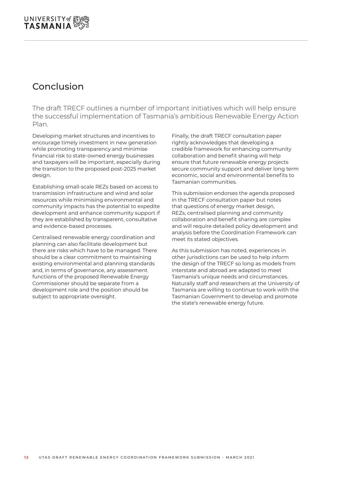### Conclusion

The draft TRECF outlines a number of important initiatives which will help ensure the successful implementation of Tasmania's ambitious Renewable Energy Action Plan.

Developing market structures and incentives to encourage timely investment in new generation while promoting transparency and minimise financial risk to state-owned energy businesses and taxpayers will be important, especially during the transition to the proposed post-2025 market design.

Establishing small-scale REZs based on access to transmission infrastructure and wind and solar resources while minimising environmental and community impacts has the potential to expedite development and enhance community support if they are established by transparent, consultative and evidence-based processes.

Centralised renewable energy coordination and planning can also facilitate development but there are risks which have to be managed. There should be a clear commitment to maintaining existing environmental and planning standards and, in terms of governance, any assessment functions of the proposed Renewable Energy Commissioner should be separate from a development role and the position should be subject to appropriate oversight.

Finally, the draft TRECF consultation paper rightly acknowledges that developing a credible framework for enhancing community collaboration and benefit sharing will help ensure that future renewable energy projects secure community support and deliver long term economic, social and environmental benefits to Tasmanian communities.

This submission endorses the agenda proposed in the TRECF consultation paper but notes that questions of energy market design, REZs, centralised planning and community collaboration and benefit sharing are complex and will require detailed policy development and analysis before the Coordination Framework can meet its stated objectives.

As this submission has noted, experiences in other jurisdictions can be used to help inform the design of the TRECF so long as models from interstate and abroad are adapted to meet Tasmania's unique needs and circumstances. Naturally staff and researchers at the University of Tasmania are willing to continue to work with the Tasmanian Government to develop and promote the state's renewable energy future.